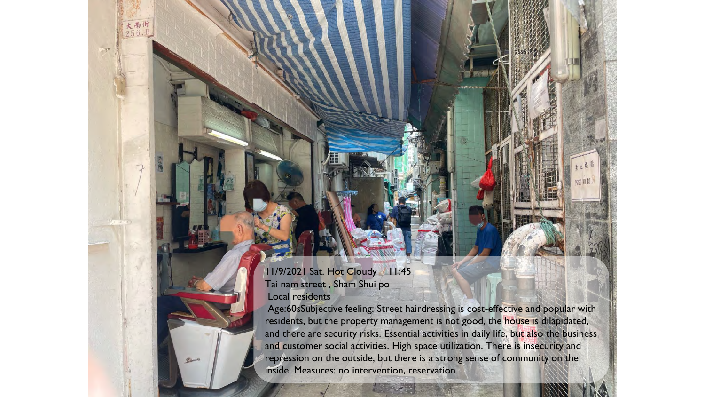## 11/9/2021 Sat. Hot Cloudy 11:45 Tai nam street , Sham Shui po Local residents

Age:60sSubjective feeling: Street hairdressing is cost-effective and popular with residents, but the property management is not good, the house is dilapidated, and there are security risks. Essential activities in daily life, but also the business and customer social activities. High space utilization. There is insecurity and repression on the outside, but there is a strong sense of community on the inside. Measures: no intervention, reservation

POST NO BILL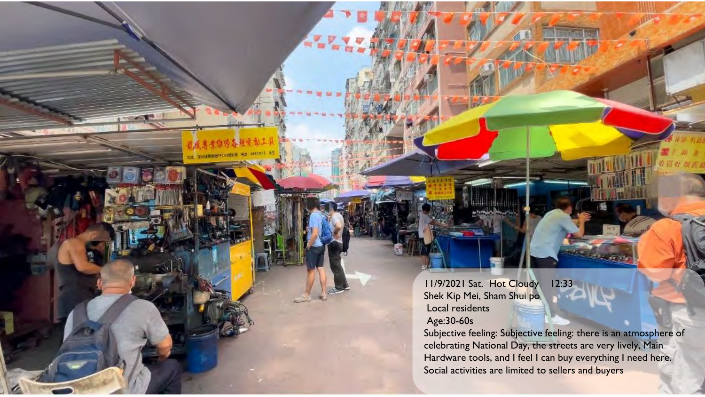11/9/2021 Sat. Hot Cloudy 12:33 Shek Kip Mei, Sham Shui po Local residents Age:30-60s

Subjective feeling: Subjective feeling: there is an atmosphere of celebrating National Day, the streets are very lively, Main Hardware tools, and I feel I can buy everything I need here. Social activities are limited to sellers and buyers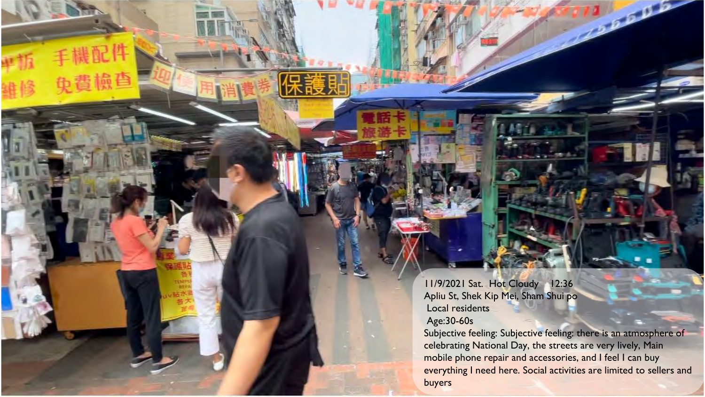11/9/2021 Sat. Hot Cloudy 12:36 Apliu St, Shek Kip Mei, Sham Shui po Local residents Age:30-60s

Subjective feeling: Subjective feeling: there is an atmosphere of celebrating National Day, the streets are very lively, Main mobile phone repair and accessories, and I feel I can buy everything I need here. Social activities are limited to sellers and buyers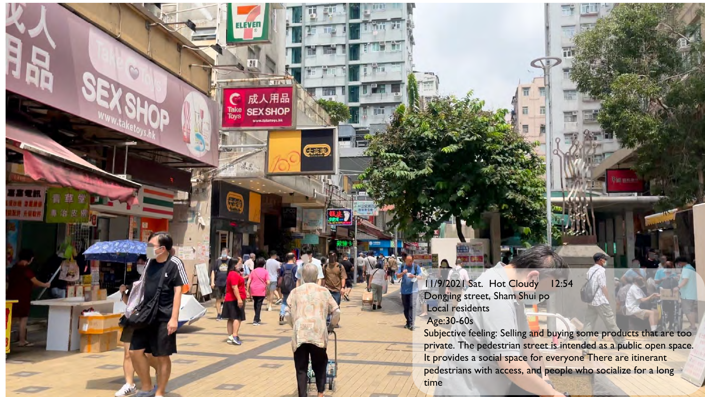11/9/2021 Sat. Hot Cloudy 12:54 Dongjing street, Sham Shui po Local residents Age:30-60s

成人用品

**SEX SHOP** 

(天然)

Take<br>Toys

Subjective feeling: Selling and buying some products that are too private. The pedestrian street is intended as a public open space. It provides a social space for everyone There are itinerant pedestrians with access, and people who socialize for a long time